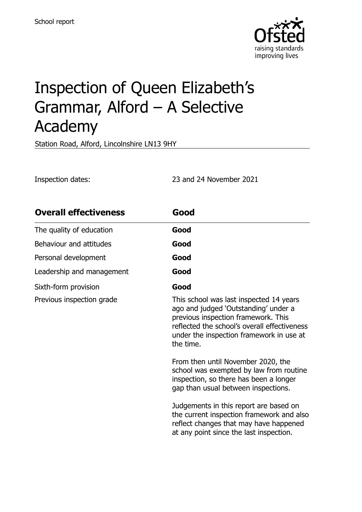

# Inspection of Queen Elizabeth's Grammar, Alford – A Selective Academy

Station Road, Alford, Lincolnshire LN13 9HY

Inspection dates: 23 and 24 November 2021

| <b>Overall effectiveness</b> | Good                                                                                                                                                                                                                            |
|------------------------------|---------------------------------------------------------------------------------------------------------------------------------------------------------------------------------------------------------------------------------|
| The quality of education     | Good                                                                                                                                                                                                                            |
| Behaviour and attitudes      | Good                                                                                                                                                                                                                            |
| Personal development         | Good                                                                                                                                                                                                                            |
| Leadership and management    | Good                                                                                                                                                                                                                            |
| Sixth-form provision         | Good                                                                                                                                                                                                                            |
| Previous inspection grade    | This school was last inspected 14 years<br>ago and judged 'Outstanding' under a<br>previous inspection framework. This<br>reflected the school's overall effectiveness<br>under the inspection framework in use at<br>the time. |
|                              | From then until November 2020, the<br>school was exempted by law from routine<br>inspection, so there has been a longer<br>gap than usual between inspections.                                                                  |
|                              | Judgements in this report are based on<br>the current inspection framework and also<br>reflect changes that may have happened<br>at any point since the last inspection.                                                        |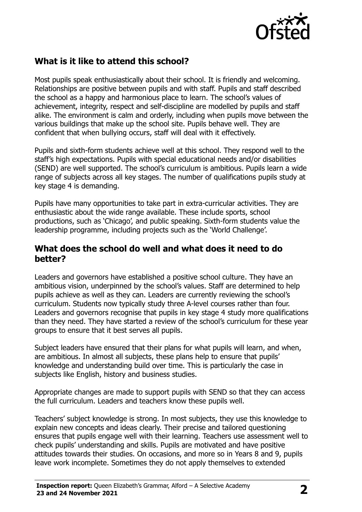

# **What is it like to attend this school?**

Most pupils speak enthusiastically about their school. It is friendly and welcoming. Relationships are positive between pupils and with staff. Pupils and staff described the school as a happy and harmonious place to learn. The school's values of achievement, integrity, respect and self-discipline are modelled by pupils and staff alike. The environment is calm and orderly, including when pupils move between the various buildings that make up the school site. Pupils behave well. They are confident that when bullying occurs, staff will deal with it effectively.

Pupils and sixth-form students achieve well at this school. They respond well to the staff's high expectations. Pupils with special educational needs and/or disabilities (SEND) are well supported. The school's curriculum is ambitious. Pupils learn a wide range of subjects across all key stages. The number of qualifications pupils study at key stage 4 is demanding.

Pupils have many opportunities to take part in extra-curricular activities. They are enthusiastic about the wide range available. These include sports, school productions, such as 'Chicago', and public speaking. Sixth-form students value the leadership programme, including projects such as the 'World Challenge'.

#### **What does the school do well and what does it need to do better?**

Leaders and governors have established a positive school culture. They have an ambitious vision, underpinned by the school's values. Staff are determined to help pupils achieve as well as they can. Leaders are currently reviewing the school's curriculum. Students now typically study three A-level courses rather than four. Leaders and governors recognise that pupils in key stage 4 study more qualifications than they need. They have started a review of the school's curriculum for these year groups to ensure that it best serves all pupils.

Subject leaders have ensured that their plans for what pupils will learn, and when, are ambitious. In almost all subjects, these plans help to ensure that pupils' knowledge and understanding build over time. This is particularly the case in subjects like English, history and business studies.

Appropriate changes are made to support pupils with SEND so that they can access the full curriculum. Leaders and teachers know these pupils well.

Teachers' subject knowledge is strong. In most subjects, they use this knowledge to explain new concepts and ideas clearly. Their precise and tailored questioning ensures that pupils engage well with their learning. Teachers use assessment well to check pupils' understanding and skills. Pupils are motivated and have positive attitudes towards their studies. On occasions, and more so in Years 8 and 9, pupils leave work incomplete. Sometimes they do not apply themselves to extended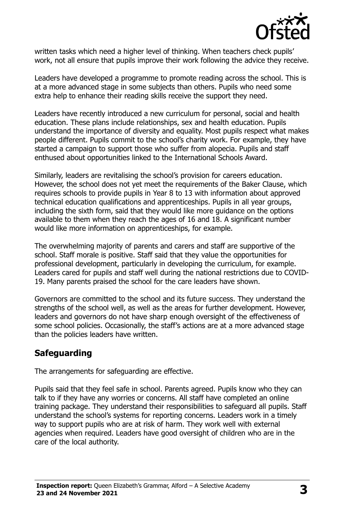

written tasks which need a higher level of thinking. When teachers check pupils' work, not all ensure that pupils improve their work following the advice they receive.

Leaders have developed a programme to promote reading across the school. This is at a more advanced stage in some subjects than others. Pupils who need some extra help to enhance their reading skills receive the support they need.

Leaders have recently introduced a new curriculum for personal, social and health education. These plans include relationships, sex and health education. Pupils understand the importance of diversity and equality. Most pupils respect what makes people different. Pupils commit to the school's charity work. For example, they have started a campaign to support those who suffer from alopecia. Pupils and staff enthused about opportunities linked to the International Schools Award.

Similarly, leaders are revitalising the school's provision for careers education. However, the school does not yet meet the requirements of the Baker Clause, which requires schools to provide pupils in Year 8 to 13 with information about approved technical education qualifications and apprenticeships. Pupils in all year groups, including the sixth form, said that they would like more guidance on the options available to them when they reach the ages of 16 and 18. A significant number would like more information on apprenticeships, for example.

The overwhelming majority of parents and carers and staff are supportive of the school. Staff morale is positive. Staff said that they value the opportunities for professional development, particularly in developing the curriculum, for example. Leaders cared for pupils and staff well during the national restrictions due to COVID-19. Many parents praised the school for the care leaders have shown.

Governors are committed to the school and its future success. They understand the strengths of the school well, as well as the areas for further development. However, leaders and governors do not have sharp enough oversight of the effectiveness of some school policies. Occasionally, the staff's actions are at a more advanced stage than the policies leaders have written.

# **Safeguarding**

The arrangements for safeguarding are effective.

Pupils said that they feel safe in school. Parents agreed. Pupils know who they can talk to if they have any worries or concerns. All staff have completed an online training package. They understand their responsibilities to safeguard all pupils. Staff understand the school's systems for reporting concerns. Leaders work in a timely way to support pupils who are at risk of harm. They work well with external agencies when required. Leaders have good oversight of children who are in the care of the local authority.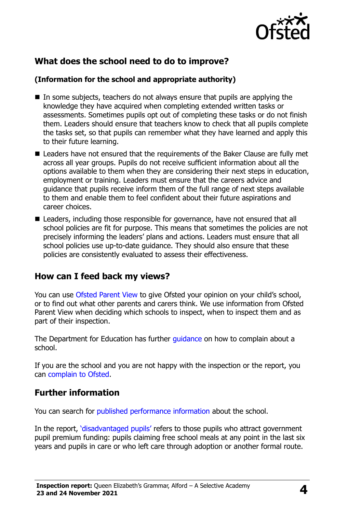

# **What does the school need to do to improve?**

#### **(Information for the school and appropriate authority)**

- $\blacksquare$  In some subjects, teachers do not always ensure that pupils are applying the knowledge they have acquired when completing extended written tasks or assessments. Sometimes pupils opt out of completing these tasks or do not finish them. Leaders should ensure that teachers know to check that all pupils complete the tasks set, so that pupils can remember what they have learned and apply this to their future learning.
- Leaders have not ensured that the requirements of the Baker Clause are fully met across all year groups. Pupils do not receive sufficient information about all the options available to them when they are considering their next steps in education, employment or training. Leaders must ensure that the careers advice and guidance that pupils receive inform them of the full range of next steps available to them and enable them to feel confident about their future aspirations and career choices.
- Leaders, including those responsible for governance, have not ensured that all school policies are fit for purpose. This means that sometimes the policies are not precisely informing the leaders' plans and actions. Leaders must ensure that all school policies use up-to-date guidance. They should also ensure that these policies are consistently evaluated to assess their effectiveness.

### **How can I feed back my views?**

You can use [Ofsted Parent View](http://parentview.ofsted.gov.uk/) to give Ofsted your opinion on your child's school, or to find out what other parents and carers think. We use information from Ofsted Parent View when deciding which schools to inspect, when to inspect them and as part of their inspection.

The Department for Education has further *quidance* on how to complain about a school.

If you are the school and you are not happy with the inspection or the report, you can [complain to Ofsted.](http://www.gov.uk/complain-ofsted-report)

# **Further information**

You can search for [published performance information](http://www.compare-school-performance.service.gov.uk/) about the school.

In the report, '[disadvantaged pupils](http://www.gov.uk/guidance/pupil-premium-information-for-schools-and-alternative-provision-settings)' refers to those pupils who attract government pupil premium funding: pupils claiming free school meals at any point in the last six years and pupils in care or who left care through adoption or another formal route.

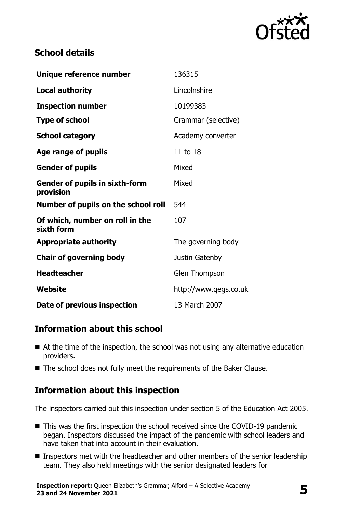

# **School details**

| Unique reference number                            | 136315                |
|----------------------------------------------------|-----------------------|
| <b>Local authority</b>                             | Lincolnshire          |
| <b>Inspection number</b>                           | 10199383              |
| <b>Type of school</b>                              | Grammar (selective)   |
| <b>School category</b>                             | Academy converter     |
| Age range of pupils                                | 11 to 18              |
| <b>Gender of pupils</b>                            | Mixed                 |
| <b>Gender of pupils in sixth-form</b><br>provision | Mixed                 |
| Number of pupils on the school roll                | 544                   |
| Of which, number on roll in the<br>sixth form      | 107                   |
| <b>Appropriate authority</b>                       | The governing body    |
| <b>Chair of governing body</b>                     | Justin Gatenby        |
| <b>Headteacher</b>                                 | <b>Glen Thompson</b>  |
| Website                                            | http://www.qegs.co.uk |
| Date of previous inspection                        | 13 March 2007         |

# **Information about this school**

- At the time of the inspection, the school was not using any alternative education providers.
- The school does not fully meet the requirements of the Baker Clause.

### **Information about this inspection**

The inspectors carried out this inspection under section 5 of the Education Act 2005.

- This was the first inspection the school received since the COVID-19 pandemic began. Inspectors discussed the impact of the pandemic with school leaders and have taken that into account in their evaluation.
- **Inspectors met with the headteacher and other members of the senior leadership** team. They also held meetings with the senior designated leaders for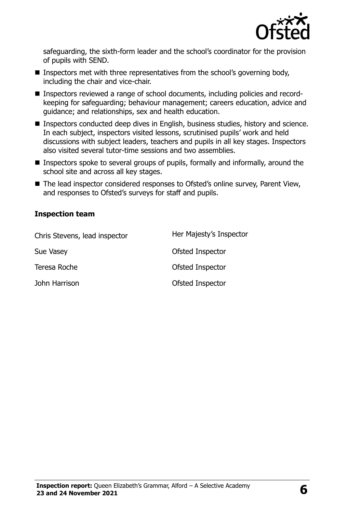

safeguarding, the sixth-form leader and the school's coordinator for the provision of pupils with SEND.

- **Inspectors met with three representatives from the school's governing body,** including the chair and vice-chair.
- Inspectors reviewed a range of school documents, including policies and recordkeeping for safeguarding; behaviour management; careers education, advice and guidance; and relationships, sex and health education.
- Inspectors conducted deep dives in English, business studies, history and science. In each subject, inspectors visited lessons, scrutinised pupils' work and held discussions with subject leaders, teachers and pupils in all key stages. Inspectors also visited several tutor-time sessions and two assemblies.
- Inspectors spoke to several groups of pupils, formally and informally, around the school site and across all key stages.
- The lead inspector considered responses to Ofsted's online survey, Parent View, and responses to Ofsted's surveys for staff and pupils.

#### **Inspection team**

| Chris Stevens, lead inspector | Her Majesty's Inspector |
|-------------------------------|-------------------------|
| <b>Sue Vasey</b>              | Ofsted Inspector        |
| Teresa Roche                  | Ofsted Inspector        |
| John Harrison                 | Ofsted Inspector        |